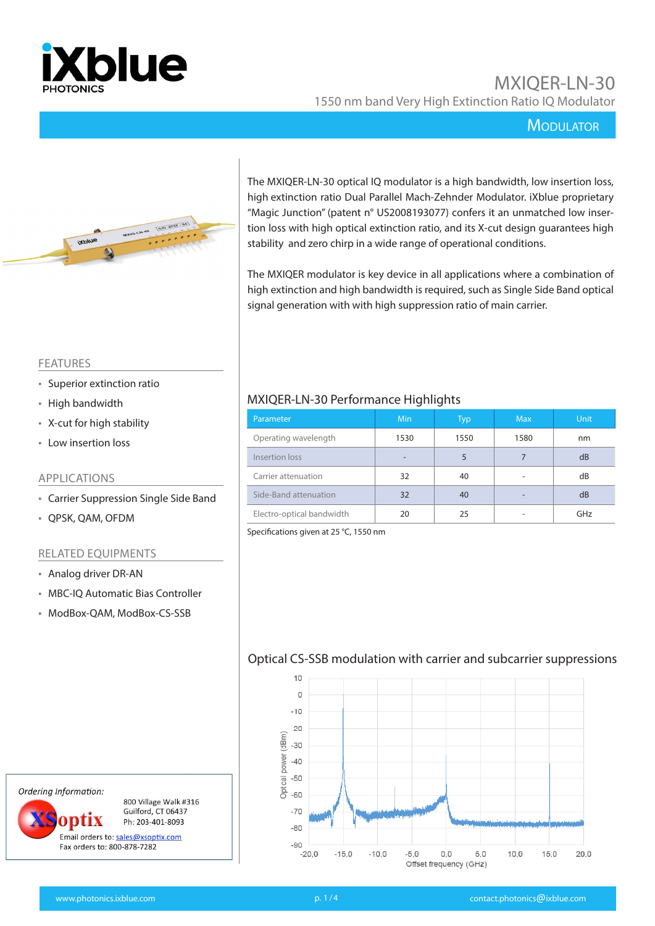

### **MODULATOR**



The MXIQER-LN-30 optical IQ modulator is a high bandwidth, low insertion loss, high extinction ratio Dual Parallel Mach-Zehnder Modulator. iXblue proprietary "Magic Junction" (patent n° US2008193077) confers it an unmatched low insertion loss with high optical extinction ratio, and its X-cut design guarantees high stability and zero chirp in a wide range of operational conditions.

The MXIQER modulator is key device in all applications where a combination of high extinction and high bandwidth is required, such as Single Side Band optical signal generation with with high suppression ratio of main carrier.

#### FEATURES

- Superior extinction ratio
- High bandwidth
- X-cut for high stability
- Low insertion loss

#### APPLICATIONS

- Carrier Suppression Single Side Band
- QPSK, QAM, OFDM

#### RELATED EQUIPMENTS

- Analog driver DR-AN
- MBC-IQ Automatic Bias Controller
- ModBox-QAM, ModBox-CS-SSB

### MXIQER-LN-30 Performance Highlights

| Parameter                 | <b>Min</b> | Typ  | <b>Max</b> | <b>Unit</b> |
|---------------------------|------------|------|------------|-------------|
| Operating wavelength      | 1530       | 1550 | 1580       | nm          |
| Insertion loss            |            | 5    |            | dB          |
| Carrier attenuation       | 32         | 40   |            | dB          |
| Side-Band attenuation     | 32         | 40   |            | dB          |
| Electro-optical bandwidth | 20         | 25   |            | GHz         |

Specifications given at 25 °C, 1550 nm

#### Optical CS-SSB modulation with carrier and subcarrier suppressions



Ordering Information:

800 Village Walk #316 Guilford, CT 06437 ontix Ph: 203-401-8093 Email orders to: sales@xsoptix.com Fax orders to: 800-878-7282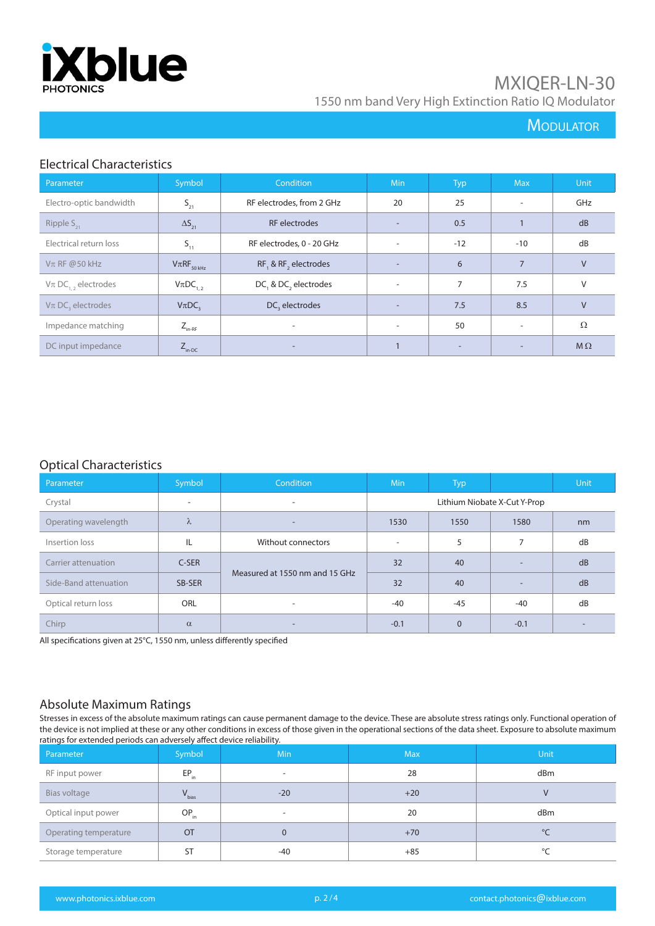

## **MODULATOR**

### Electrical Characteristics

| Parameter                            | Symbol              | Condition                  | <b>Min</b>               | <b>Typ</b>               | <b>Max</b>               | Unit       |
|--------------------------------------|---------------------|----------------------------|--------------------------|--------------------------|--------------------------|------------|
| Electro-optic bandwidth              | $S_{21}$            | RF electrodes, from 2 GHz  | 20                       | 25                       | $\overline{a}$           | GHz        |
| Ripple $S_{21}$                      | $\Delta S_{21}$     | <b>RF</b> electrodes       | $\overline{\phantom{a}}$ | 0.5                      |                          | dB         |
| Electrical return loss               | $S_{11}$            | RF electrodes, 0 - 20 GHz  | ٠                        | $-12$                    | $-10$                    | dB         |
| $V\pi$ RF @50 kHz                    | $V\pi RF_{50\,kHz}$ | RF, & RF, electrodes       | $\overline{\phantom{a}}$ | 6                        | $\overline{7}$           | $\vee$     |
| $V\pi$ DC <sub>12</sub> , electrodes | $V_{\pi}DC_{1,2}$   | DC, & DC, electrodes       | $\overline{\phantom{a}}$ | 7                        | 7.5                      | V          |
| $V\pi$ DC, electrodes                | $V_{\pi}DC$         | DC <sub>2</sub> electrodes | $\overline{\phantom{a}}$ | 7.5                      | 8.5                      | $\vee$     |
| Impedance matching                   | $Z_{\text{in-RF}}$  | $\overline{\phantom{a}}$   | $\overline{\phantom{a}}$ | 50                       | $\overline{\phantom{a}}$ | $\Omega$   |
| DC input impedance                   | $Z_{\text{in-DC}}$  |                            |                          | $\overline{\phantom{0}}$ |                          | $M \Omega$ |

#### Optical Characteristics

| Parameter             | Symbol     | Condition                      | Min                          | <b>Typ</b>   |                          | <b>Unit</b>              |
|-----------------------|------------|--------------------------------|------------------------------|--------------|--------------------------|--------------------------|
| Crystal               | ۰          | $\overline{\phantom{a}}$       | Lithium Niobate X-Cut Y-Prop |              |                          |                          |
| Operating wavelength  | $\lambda$  | $\overline{\phantom{a}}$       | 1530                         | 1550         | 1580                     | nm                       |
| Insertion loss        | IL         | Without connectors             | $\overline{\phantom{a}}$     | 5            | $\overline{ }$           | dB                       |
| Carrier attenuation   | C-SER      | Measured at 1550 nm and 15 GHz | 32                           | 40           | $\overline{\phantom{a}}$ | dB                       |
| Side-Band attenuation | SB-SER     |                                | 32                           | 40           | $\overline{\phantom{a}}$ | dB                       |
| Optical return loss   | <b>ORL</b> | $\overline{\phantom{a}}$       | $-40$                        | $-45$        | -40                      | dB                       |
| Chirp                 | $\alpha$   | $\overline{\phantom{a}}$       | $-0.1$                       | $\mathbf{0}$ | $-0.1$                   | $\overline{\phantom{a}}$ |

All specifications given at 25°C, 1550 nm, unless differently specified

### Absolute Maximum Ratings

Stresses in excess of the absolute maximum ratings can cause permanent damage to the device. These are absolute stress ratings only. Functional operation of the device is not implied at these or any other conditions in excess of those given in the operational sections of the data sheet. Exposure to absolute maximum ratings for extended periods can adversely affect device reliability.

| Parameter             | Symbol     | <b>Min</b>               | <b>Max</b> | <b>Unit</b>  |
|-----------------------|------------|--------------------------|------------|--------------|
| RF input power        | $EP_{in}$  | $\overline{\phantom{a}}$ | 28         | dBm          |
| Bias voltage          | $V_{bias}$ | $-20$                    | $+20$      |              |
| Optical input power   | $OP_{in}$  |                          | 20         | dBm          |
| Operating temperature | <b>OT</b>  | $\Omega$                 | $+70$      | $^{\circ}$ C |
| Storage temperature   | <b>ST</b>  | -40                      | $+85$      | $\circ$      |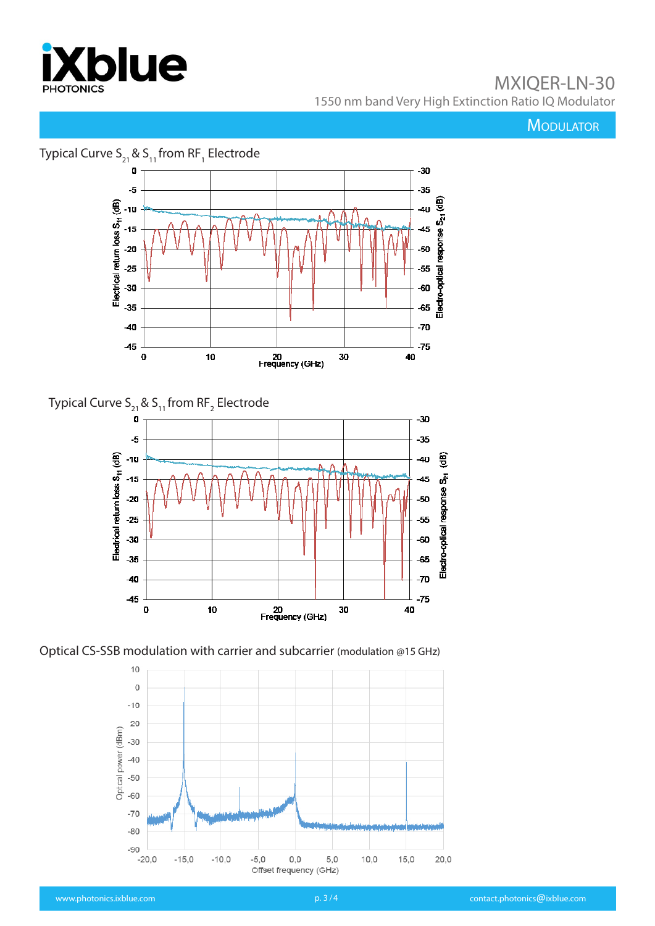

**MODULATOR** 







Optical CS-SSB modulation with carrier and subcarrier (modulation @15 GHz)